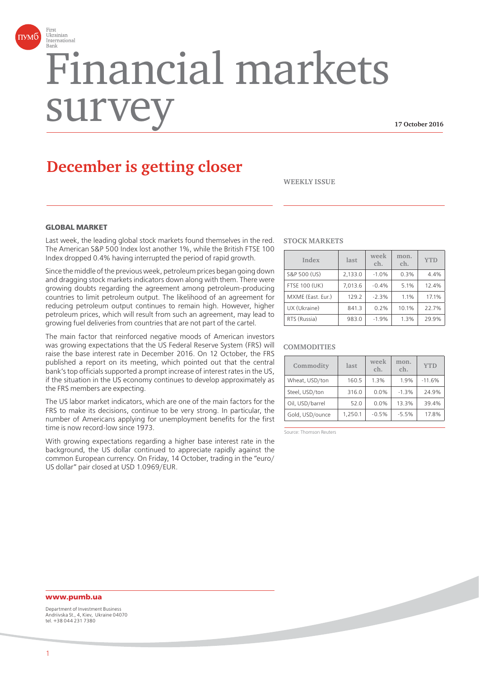

# Financial markets surv

**17 October 2016**

# **December is getting closer**

**WEEKLY ISSUE**

#### **GLORAL MARKET**

Last week, the leading global stock markets found themselves in the red. The American S&P 500 Index lost another 1%, while the British FTSE 100 Index dropped 0.4% having interrupted the period of rapid growth.

Since the middle of the previous week, petroleum prices began going down and dragging stock markets indicators down along with them. There were growing doubts regarding the agreement among petroleum-producing countries to limit petroleum output. The likelihood of an agreement for reducing petroleum output continues to remain high. However, higher petroleum prices, which will result from such an agreement, may lead to growing fuel deliveries from countries that are not part of the cartel.

The main factor that reinforced negative moods of American investors was growing expectations that the US Federal Reserve System (FRS) will raise the base interest rate in December 2016. On 12 October, the FRS published a report on its meeting, which pointed out that the central bank's top officials supported a prompt increase of interest rates in the US, if the situation in the US economy continues to develop approximately as the FRS members are expecting.

The US labor market indicators, which are one of the main factors for the FRS to make its decisions, continue to be very strong. In particular, the number of Americans applying for unemployment benefits for the first time is now record-low since 1973.

With growing expectations regarding a higher base interest rate in the background, the US dollar continued to appreciate rapidly against the common European currency. On Friday, 14 October, trading in the "euro/ US dollar" pair closed at USD 1.0969/EUR.

#### **STOCK MARKETS**

| Index                | last    | week<br>ch. | mon.<br>ch. | <b>YTD</b> |
|----------------------|---------|-------------|-------------|------------|
| S&P 500 (US)         | 2,133.0 | $-1.0%$     | 0.3%        | 4.4%       |
| <b>FTSE 100 (UK)</b> | 7.013.6 | $-0.4%$     | 5.1%        | 12.4%      |
| MXME (East. Eur.)    | 129.2   | $-2.3%$     | 1.1%        | 17.1%      |
| UX (Ukraine)         | 841.3   | 0.2%        | 10.1%       | 22.7%      |
| RTS (Russia)         | 983.0   | $-1.9%$     | 1.3%        | 29.9%      |

#### **COMMODITIES**

| Commodity       | last    | week<br>ch. | mon.<br>ch. | <b>YTD</b> |
|-----------------|---------|-------------|-------------|------------|
| Wheat, USD/ton  | 160.5   | 1.3%        | 1.9%        | $-11.6%$   |
| Steel, USD/ton  | 316.0   | 0.0%        | $-1.3%$     | 24.9%      |
| Oil, USD/barrel | 52.0    | 0.0%        | 13.3%       | 39.4%      |
| Gold, USD/ounce | 1.250.1 | $-0.5%$     | $-5.5%$     | 17.8%      |

Source: Thomson Reuters

### **www.pumb.ua**

Department of Investment Business Andriivska St., 4, Kiev, Ukraine 04070 tel. +38 044 231 7380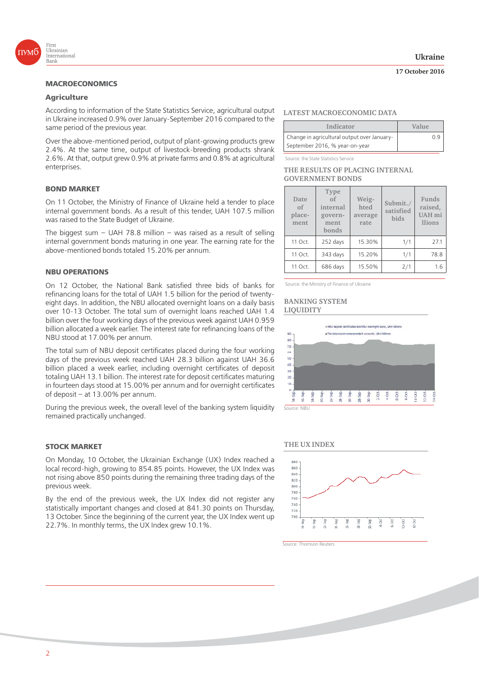

## **Agriculture**

According to information of the State Statistics Service, agricultural output in Ukraine increased 0.9% over January-September 2016 compared to the same period of the previous year.

Over the above-mentioned period, output of plant-growing products grew 2.4%. At the same time, output of livestock-breeding products shrank 2.6%. At that, output grew 0.9% at private farms and 0.8% at agricultural enterprises.

On 11 October, the Ministry of Finance of Ukraine held a tender to place internal government bonds. As a result of this tender, UAH 107.5 million was raised to the State Budget of Ukraine.

The biggest sum – UAH 78.8 million – was raised as a result of selling internal government bonds maturing in one year. The earning rate for the above-mentioned bonds totaled 15.20% per annum.

On 12 October, the National Bank satisfied three bids of banks for refinancing loans for the total of UAH 1.5 billion for the period of twentyeight days. In addition, the NBU allocated overnight loans on a daily basis over 10-13 October. The total sum of overnight loans reached UAH 1.4 billion over the four working days of the previous week against UAH 0.959 billion allocated a week earlier. The interest rate for refinancing loans of the NBU stood at 17.00% per annum.

The total sum of NBU deposit certificates placed during the four working days of the previous week reached UAH 28.3 billion against UAH 36.6 billion placed a week earlier, including overnight certificates of deposit totaling UAH 13.1 billion. The interest rate for deposit certificates maturing in fourteen days stood at 15.00% per annum and for overnight certificates of deposit – at 13.00% per annum.

During the previous week, the overall level of the banking system liquidity remained practically unchanged.

#### **STOCK MARKET**

On Monday, 10 October, the Ukrainian Exchange (UX) Index reached a local record-high, growing to 854.85 points. However, the UX Index was not rising above 850 points during the remaining three trading days of the previous week.

By the end of the previous week, the UX Index did not register any statistically important changes and closed at 841.30 points on Thursday, 13 October. Since the beginning of the current year, the UX Index went up 22.7%. In monthly terms, the UX Index grew 10.1%.

#### **17 October 2016**

#### **LATEST MACROECONOMIC DATA**

| Indicator                                   | Value |  |
|---------------------------------------------|-------|--|
| Change in agricultural output over January- | Ωd    |  |
| September 2016, % year-on-year              |       |  |

Source: the State Statistics Service

#### **THE RESULTS OF PLACING INTERNAL GOVERNMENT BONDS**

| Date<br>of<br>place-<br>ment | Type<br>$\alpha$ f<br>internal<br>govern-<br>ment<br>bonds | Weig-<br>hted<br>average<br>rate | Submit./<br>satisfied<br>bids | Funds<br>raised,<br><b>UAH</b> mi<br><b>llions</b> |
|------------------------------|------------------------------------------------------------|----------------------------------|-------------------------------|----------------------------------------------------|
| 11 Oct.                      | 252 days                                                   | 15.30%                           | 1/1                           | 27.1                                               |
| 11 Oct.                      | 343 days                                                   | 15.20%                           | 1/1                           | 78.8                                               |
| 11 Oct.                      | 686 days                                                   | 15.50%                           | 2/1                           | 1.6                                                |

Source: the Ministry of Finance of Ukraine

#### **BANKING SYSTEM LIQUIDITY**





Source: Thomson Reuters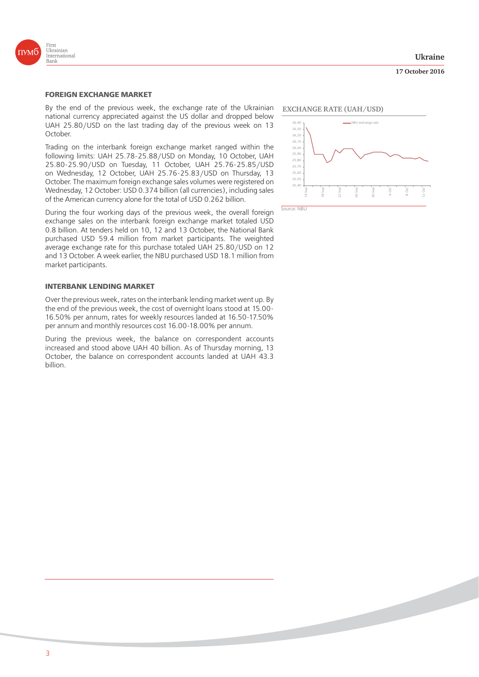

**17 October 2016**



#### **FOREIGN EXCHANGE MARKET**

By the end of the previous week, the exchange rate of the Ukrainian national currency appreciated against the US dollar and dropped below UAH 25.80/USD on the last trading day of the previous week on 13 October.

Trading on the interbank foreign exchange market ranged within the following limits: UAH 25.78-25.88/USD on Monday, 10 October, UAH 25.80-25.90/USD on Tuesday, 11 October, UAH 25.76-25.85/USD on Wednesday, 12 October, UAH 25.76-25.83/USD on Thursday, 13 October. The maximum foreign exchange sales volumes were registered on Wednesday, 12 October: USD 0.374 billion (all currencies), including sales of the American currency alone for the total of USD 0.262 billion.

During the four working days of the previous week, the overall foreign exchange sales on the interbank foreign exchange market totaled USD 0.8 billion. At tenders held on 10, 12 and 13 October, the National Bank purchased USD 59.4 million from market participants. The weighted average exchange rate for this purchase totaled UAH 25.80/USD on 12 and 13 October. A week earlier, the NBU purchased USD 18.1 million from market participants.

#### **INTERBANK LENDING MARKET**

Over the previous week, rates on the interbank lending market went up. By the end of the previous week, the cost of overnight loans stood at 15.00- 16.50% per annum, rates for weekly resources landed at 16.50-17.50% per annum and monthly resources cost 16.00-18.00% per annum.

During the previous week, the balance on correspondent accounts increased and stood above UAH 40 billion. As of Thursday morning, 13 October, the balance on correspondent accounts landed at UAH 43.3 billion.

#### **EXCHANGE RATE (UAH/USD)**

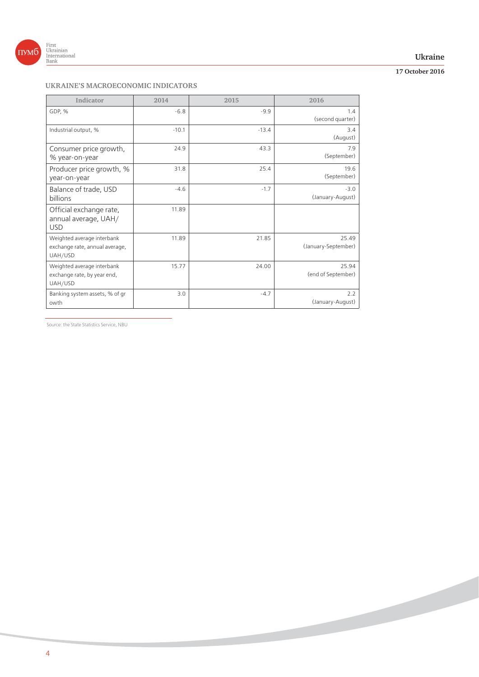

### **Ukraine**

## **17 October 2016**

## **UKRAINE'S MACROECONOMIC INDICATORS**

| Indicator                                                               | 2014    | 2015    | 2016                         |
|-------------------------------------------------------------------------|---------|---------|------------------------------|
| GDP, %                                                                  | $-6.8$  | $-9.9$  | 1.4<br>(second quarter)      |
| Industrial output, %                                                    | $-10.1$ | $-13.4$ | 3.4<br>(August)              |
| Consumer price growth,<br>% year-on-year                                | 24.9    | 43.3    | 7.9<br>(September)           |
| Producer price growth, %<br>year-on-year                                | 31.8    | 25.4    | 19.6<br>(September)          |
| Balance of trade, USD<br>billions                                       | $-4.6$  | $-1.7$  | $-3.0$<br>(January-August)   |
| Official exchange rate,<br>annual average, UAH/<br><b>USD</b>           | 11.89   |         |                              |
| Weighted average interbank<br>exchange rate, annual average,<br>UAH/USD | 11.89   | 21.85   | 25.49<br>(January-September) |
| Weighted average interbank<br>exchange rate, by year end,<br>UAH/USD    | 15.77   | 24.00   | 25.94<br>(end of September)  |
| Banking system assets, % of gr<br>owth                                  | 3.0     | $-4.7$  | 2.2<br>(January-August)      |

Source: the State Statistics Service, NBU